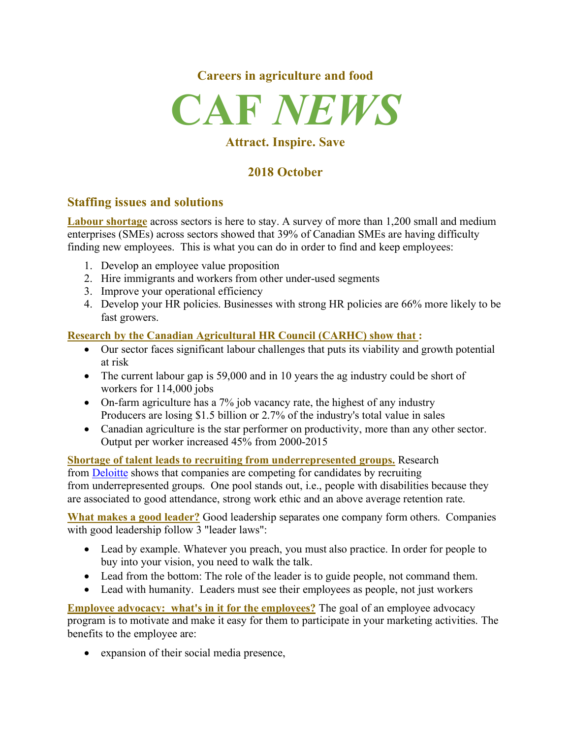



## **Attract. Inspire. Save**

# **2018 October**

## **Staffing issues and solutions**

**Labour shortage** across sectors is here to stay. A survey of more than 1,200 small and medium enterprises (SMEs) across sectors showed that 39% of Canadian SMEs are having difficulty finding new employees. This is what you can do in order to find and keep employees:

- 1. Develop an employee value proposition
- 2. Hire immigrants and workers from other under-used segments
- 3. Improve your operational efficiency
- 4. Develop your HR policies. Businesses with strong HR policies are 66% more likely to be fast growers.

### **Research by the Canadian Agricultural HR Council (CARHC) show that :**

- Our sector faces significant labour challenges that puts its viability and growth potential at risk
- The current labour gap is 59,000 and in 10 years the ag industry could be short of workers for 114,000 jobs
- On-farm agriculture has a 7% job vacancy rate, the highest of any industry Producers are losing \$1.5 billion or 2.7% of the industry's total value in sales
- Canadian agriculture is the star performer on productivity, more than any other sector. Output per worker increased 45% from 2000-2015

**Shortage of talent leads to recruiting from underrepresented groups.** Research from Deloitte shows that companies are competing for candidates by recruiting from underrepresented groups. One pool stands out, i.e., people with disabilities because they are associated to good attendance, strong work ethic and an above average retention rate.

**What makes a good leader?** Good leadership separates one company form others. Companies with good leadership follow 3 "leader laws":

- Lead by example. Whatever you preach, you must also practice. In order for people to buy into your vision, you need to walk the talk.
- Lead from the bottom: The role of the leader is to guide people, not command them.
- Lead with humanity. Leaders must see their employees as people, not just workers

**Employee advocacy: what's in it for the employees?** The goal of an employee advocacy program is to motivate and make it easy for them to participate in your marketing activities. The benefits to the employee are:

• expansion of their social media presence,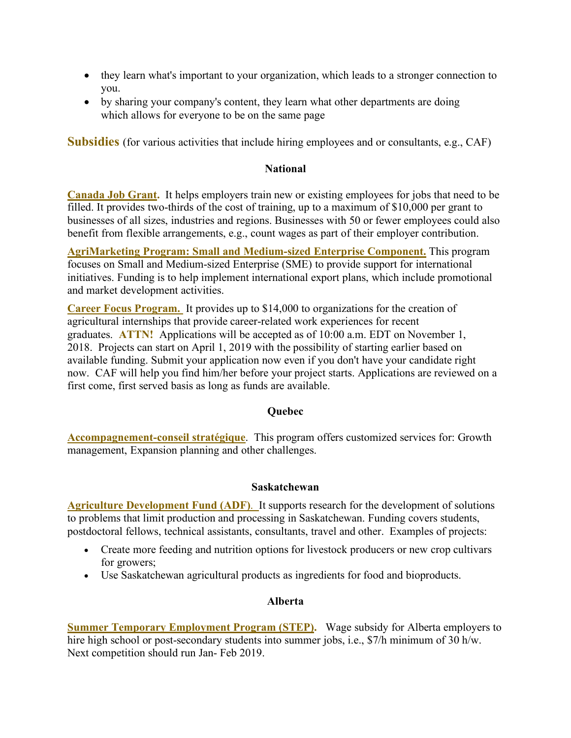- they learn what's important to your organization, which leads to a stronger connection to you.
- by sharing your company's content, they learn what other departments are doing which allows for everyone to be on the same page

**Subsidies** (for various activities that include hiring employees and or consultants, e.g., CAF)

### **National**

**Canada Job Grant.** It helps employers train new or existing employees for jobs that need to be filled. It provides two-thirds of the cost of training, up to a maximum of \$10,000 per grant to businesses of all sizes, industries and regions. Businesses with 50 or fewer employees could also benefit from flexible arrangements, e.g., count wages as part of their employer contribution.

**AgriMarketing Program: Small and Medium-sized Enterprise Component.** This program focuses on Small and Medium-sized Enterprise (SME) to provide support for international initiatives. Funding is to help implement international export plans, which include promotional and market development activities.

**Career Focus Program.** It provides up to \$14,000 to organizations for the creation of agricultural internships that provide career-related work experiences for recent graduates. **ATTN!** Applications will be accepted as of 10:00 a.m. EDT on November 1, 2018. Projects can start on April 1, 2019 with the possibility of starting earlier based on available funding. Submit your application now even if you don't have your candidate right now. CAF will help you find him/her before your project starts. Applications are reviewed on a first come, first served basis as long as funds are available.

#### **Quebec**

**Accompagnement-conseil stratégique**. This program offers customized services for: Growth management, Expansion planning and other challenges.

#### **Saskatchewan**

**Agriculture Development Fund (ADF)**. It supports research for the development of solutions to problems that limit production and processing in Saskatchewan. Funding covers students, postdoctoral fellows, technical assistants, consultants, travel and other. Examples of projects:

- Create more feeding and nutrition options for livestock producers or new crop cultivars for growers;
- Use Saskatchewan agricultural products as ingredients for food and bioproducts.

#### **Alberta**

**Summer Temporary Employment Program (STEP).** Wage subsidy for Alberta employers to hire high school or post-secondary students into summer jobs, i.e., \$7/h minimum of 30 h/w. Next competition should run Jan- Feb 2019.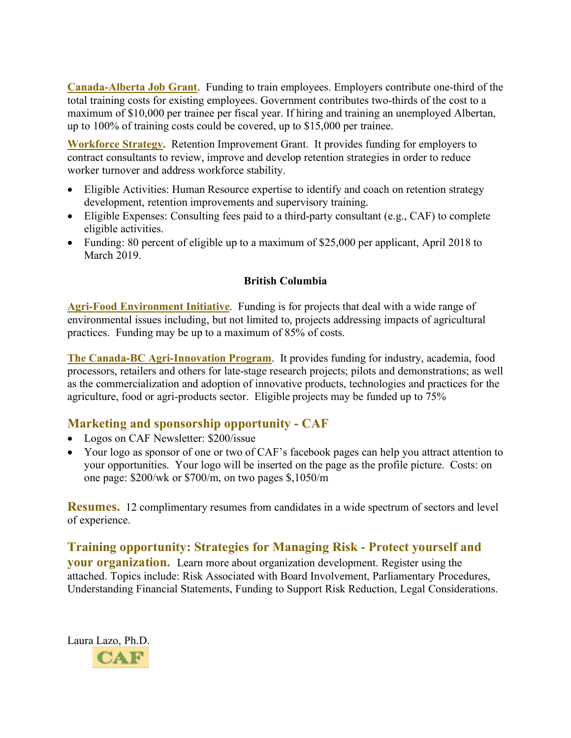**Canada-Alberta Job Grant**. Funding to train employees. Employers contribute one-third of the total training costs for existing employees. Government contributes two-thirds of the cost to a maximum of \$10,000 per trainee per fiscal year. If hiring and training an unemployed Albertan, up to 100% of training costs could be covered, up to \$15,000 per trainee.

**Workforce Strategy.** Retention Improvement Grant. It provides funding for employers to contract consultants to review, improve and develop retention strategies in order to reduce worker turnover and address workforce stability.

- Eligible Activities: Human Resource expertise to identify and coach on retention strategy development, retention improvements and supervisory training.
- Eligible Expenses: Consulting fees paid to a third-party consultant (e.g., CAF) to complete eligible activities.
- Funding: 80 percent of eligible up to a maximum of \$25,000 per applicant, April 2018 to March 2019.

### **British Columbia**

**Agri-Food Environment Initiative**. Funding is for projects that deal with a wide range of environmental issues including, but not limited to, projects addressing impacts of agricultural practices. Funding may be up to a maximum of 85% of costs.

**The Canada-BC Agri-Innovation Program**. It provides funding for industry, academia, food processors, retailers and others for late-stage research projects; pilots and demonstrations; as well as the commercialization and adoption of innovative products, technologies and practices for the agriculture, food or agri-products sector. Eligible projects may be funded up to 75%

### **Marketing and sponsorship opportunity - CAF**

- Logos on CAF Newsletter: \$200/issue
- Your logo as sponsor of one or two of CAF's facebook pages can help you attract attention to your opportunities. Your logo will be inserted on the page as the profile picture. Costs: on one page: \$200/wk or \$700/m, on two pages \$,1050/m

**Resumes.** 12 complimentary resumes from candidates in a wide spectrum of sectors and level of experience.

**Training opportunity: Strategies for Managing Risk - Protect yourself and your organization.** Learn more about organization development. Register using the attached. Topics include: Risk Associated with Board Involvement, Parliamentary Procedures, Understanding Financial Statements, Funding to Support Risk Reduction, Legal Considerations.

Laura Lazo, Ph.D. $CAF$